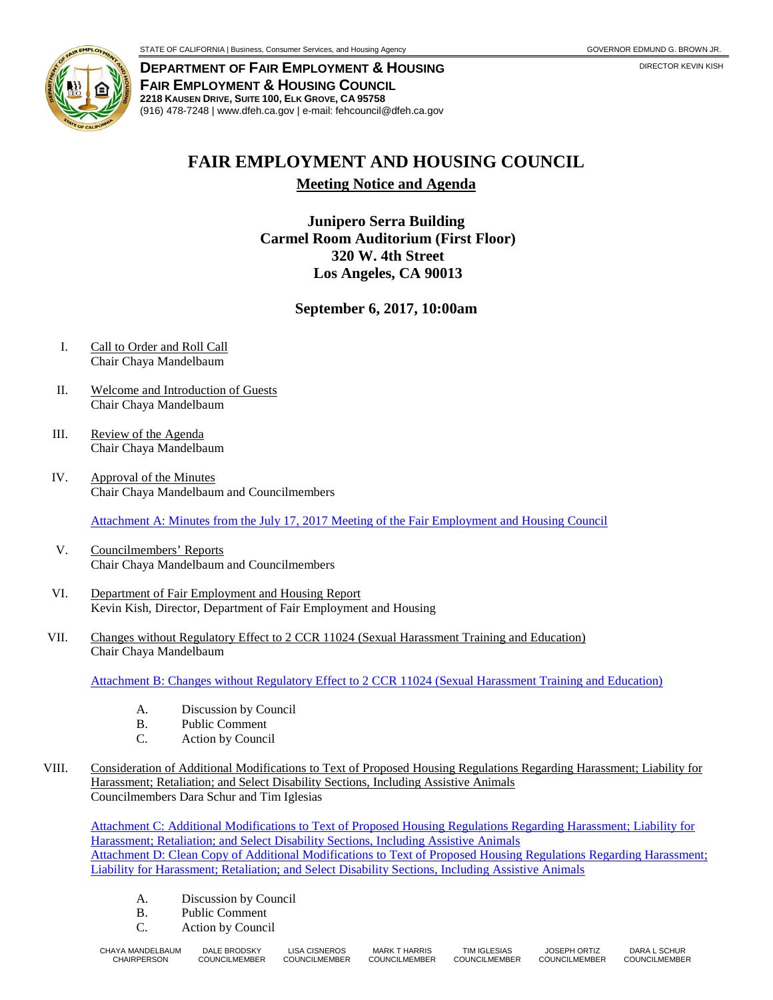

**DEPARTMENT OF FAIR EMPLOYMENT & HOUSING** DIRECTOR KEVIN KISH **FAIR EMPLOYMENT & HOUSING COUNCIL 2218 KAUSEN DRIVE, SUITE 100, ELK GROVE, CA 95758** (916) 478-7248 | www.dfeh.ca.gov | e-mail: fehcouncil@dfeh.ca.gov

## **FAIR EMPLOYMENT AND HOUSING COUNCIL**

**Meeting Notice and Agenda**

**Junipero Serra Building Carmel Room Auditorium (First Floor) 320 W. 4th Street Los Angeles, CA 90013**

**September 6, 2017, 10:00am**

- I. Call to Order and Roll Call Chair Chaya Mandelbaum
- II. Welcome and Introduction of Guests Chair Chaya Mandelbaum
- III. Review of the Agenda Chair Chaya Mandelbaum
- IV. Approval of the Minutes Chair Chaya Mandelbaum and Councilmembers

Attachment A: Minutes from the July 17, 2017 [Meeting of the Fair Employment and Housing Council](http://www.dfeh.ca.gov/wp-content/uploads/sites/32/2017/08/AttachA-FEHCMinutes2017July17.pdf)

- V. Councilmembers' Reports Chair Chaya Mandelbaum and Councilmembers
- VI. Department of Fair Employment and Housing Report Kevin Kish, Director, Department of Fair Employment and Housing
- VII. Changes without Regulatory Effect to 2 CCR 11024 (Sexual Harassment Training and Education) Chair Chaya Mandelbaum

[Attachment B: Changes without Regulatory Effect to 2 CCR 11024 \(Sexual Harassment Training and Education\)](http://www.dfeh.ca.gov/wp-content/uploads/sites/32/2017/08/AttachB-ChangesWithoutRegEffecTo2CCR-11024-SexualHarassmentTraining-andEd.pdf)

- A. Discussion by Council<br>B. Public Comment
- Public Comment
- C. Action by Council
- VIII. Consideration of Additional Modifications to Text of Proposed Housing Regulations Regarding Harassment; Liability for Harassment; Retaliation; and Select Disability Sections, Including Assistive Animals Councilmembers Dara Schur and Tim Iglesias

Attachment C: Additional Modifications to [Text of Proposed Housing Regulations Regarding Harassment; Liability for](http://www.dfeh.ca.gov/wp-content/uploads/sites/32/2017/08/AttachC-AddModHousingRegHarassLiab4HarassSelDisabilitySec-IncAssistiveAnimals.pdf)  [Harassment; Retaliation; and Select Disability Sections, Including Assistive Animals](http://www.dfeh.ca.gov/wp-content/uploads/sites/32/2017/08/AttachC-AddModHousingRegHarassLiab4HarassSelDisabilitySec-IncAssistiveAnimals.pdf) [Attachment D: Clean Copy of Additional Modifications to Text of Proposed Housing Regulations Regarding Harassment;](http://www.dfeh.ca.gov/wp-content/uploads/sites/32/2017/08/AttachD-AddModHousingRegHarassmentLiab4HarassRetalSelDisabilitySec-IncAssistiveAnimals.pdf)  [Liability for Harassment; Retaliation; and Select Disability Sections, Including Assistive Animals](http://www.dfeh.ca.gov/wp-content/uploads/sites/32/2017/08/AttachD-AddModHousingRegHarassmentLiab4HarassRetalSelDisabilitySec-IncAssistiveAnimals.pdf)

- A. Discussion by Council
- B. Public Comment
- C. Action by Council

| CHAYA MANDELBAUM | DALE BRODSKY         | <b>LISA CISNEROS</b> | <b>MARK T HARRIS</b> | TIM IGLESIAS         | <b>JOSEPH ORTIZ</b>  | DARA L SCHUR         |
|------------------|----------------------|----------------------|----------------------|----------------------|----------------------|----------------------|
| CHAIRPERSON      | <b>COUNCILMEMBER</b> | <b>COUNCILMEMBER</b> | <b>COUNCILMEMBER</b> | <b>COUNCILMEMBER</b> | <b>COUNCILMEMBER</b> | <b>COUNCILMEMBER</b> |